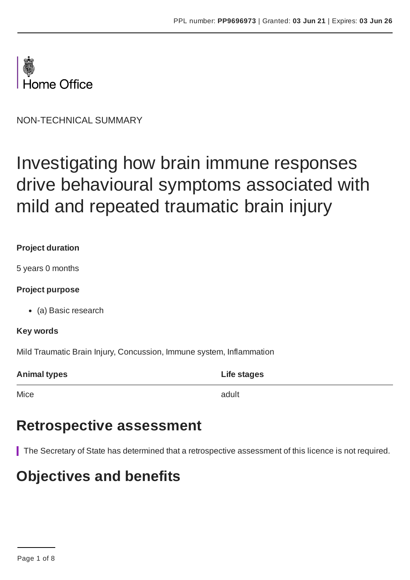

NON-TECHNICAL SUMMARY

# Investigating how brain immune responses drive behavioural symptoms associated with mild and repeated traumatic brain injury

#### **Project duration**

5 years 0 months

#### **Project purpose**

(a) Basic research

#### **Key words**

Mild Traumatic Brain Injury, Concussion, Immune system, Inflammation

| <b>Animal types</b> | Life stages |
|---------------------|-------------|
|                     |             |

Mice and the contract of the contract of the contract of the contract of the contract of the contract of the contract of the contract of the contract of the contract of the contract of the contract of the contract of the c

### **Retrospective assessment**

The Secretary of State has determined that a retrospective assessment of this licence is not required.

## **Objectives and benefits**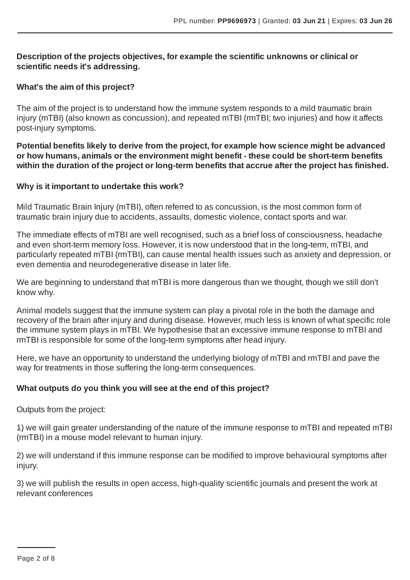#### **Description of the projects objectives, for example the scientific unknowns or clinical or scientific needs it's addressing.**

#### **What's the aim of this project?**

The aim of the project is to understand how the immune system responds to a mild traumatic brain injury (mTBI) (also known as concussion), and repeated mTBI (rmTBI; two injuries) and how it affects post-injury symptoms.

**Potential benefits likely to derive from the project, for example how science might be advanced or how humans, animals or the environment might benefit - these could be short-term benefits within the duration of the project or long-term benefits that accrue after the project has finished.**

#### **Why is it important to undertake this work?**

Mild Traumatic Brain Injury (mTBI), often referred to as concussion, is the most common form of traumatic brain injury due to accidents, assaults, domestic violence, contact sports and war.

The immediate effects of mTBI are well recognised, such as a brief loss of consciousness, headache and even short-term memory loss. However, it is now understood that in the long-term, mTBI, and particularly repeated mTBI (rmTBI), can cause mental health issues such as anxiety and depression, or even dementia and neurodegenerative disease in later life.

We are beginning to understand that mTBI is more dangerous than we thought, though we still don't know why.

Animal models suggest that the immune system can play a pivotal role in the both the damage and recovery of the brain after injury and during disease. However, much less is known of what specific role the immune system plays in mTBI. We hypothesise that an excessive immune response to mTBI and rmTBI is responsible for some of the long-term symptoms after head injury.

Here, we have an opportunity to understand the underlying biology of mTBI and rmTBI and pave the way for treatments in those suffering the long-term consequences.

#### **What outputs do you think you will see at the end of this project?**

Outputs from the project:

1) we will gain greater understanding of the nature of the immune response to mTBI and repeated mTBI (rmTBI) in a mouse model relevant to human injury.

2) we will understand if this immune response can be modified to improve behavioural symptoms after injury.

3) we will publish the results in open access, high-quality scientific journals and present the work at relevant conferences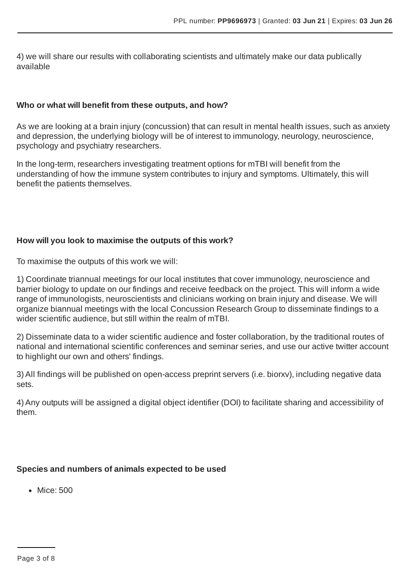4) we will share our results with collaborating scientists and ultimately make our data publically available

#### **Who or what will benefit from these outputs, and how?**

As we are looking at a brain injury (concussion) that can result in mental health issues, such as anxiety and depression, the underlying biology will be of interest to immunology, neurology, neuroscience, psychology and psychiatry researchers.

In the long-term, researchers investigating treatment options for mTBI will benefit from the understanding of how the immune system contributes to injury and symptoms. Ultimately, this will benefit the patients themselves.

#### **How will you look to maximise the outputs of this work?**

To maximise the outputs of this work we will:

1) Coordinate triannual meetings for our local institutes that cover immunology, neuroscience and barrier biology to update on our findings and receive feedback on the project. This will inform a wide range of immunologists, neuroscientists and clinicians working on brain injury and disease. We will organize biannual meetings with the local Concussion Research Group to disseminate findings to a wider scientific audience, but still within the realm of mTBI.

2) Disseminate data to a wider scientific audience and foster collaboration, by the traditional routes of national and international scientific conferences and seminar series, and use our active twitter account to highlight our own and others' findings.

3) All findings will be published on open-access preprint servers (i.e. biorxv), including negative data sets.

4) Any outputs will be assigned a digital object identifier (DOI) to facilitate sharing and accessibility of them.

#### **Species and numbers of animals expected to be used**

• Mice: 500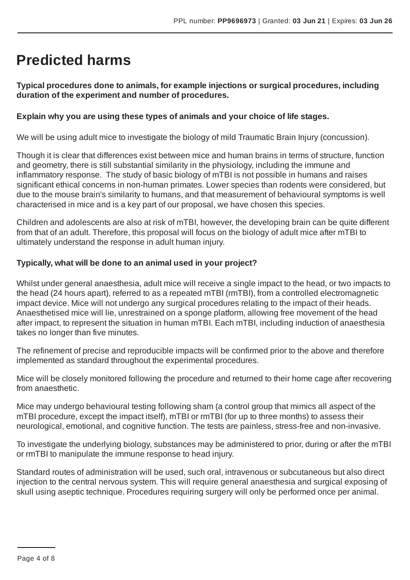## **Predicted harms**

**Typical procedures done to animals, for example injections or surgical procedures, including duration of the experiment and number of procedures.**

#### **Explain why you are using these types of animals and your choice of life stages.**

We will be using adult mice to investigate the biology of mild Traumatic Brain Injury (concussion).

Though it is clear that differences exist between mice and human brains in terms of structure, function and geometry, there is still substantial similarity in the physiology, including the immune and inflammatory response. The study of basic biology of mTBI is not possible in humans and raises significant ethical concerns in non-human primates. Lower species than rodents were considered, but due to the mouse brain's similarity to humans, and that measurement of behavioural symptoms is well characterised in mice and is a key part of our proposal, we have chosen this species.

Children and adolescents are also at risk of mTBI, however, the developing brain can be quite different from that of an adult. Therefore, this proposal will focus on the biology of adult mice after mTBI to ultimately understand the response in adult human injury.

#### **Typically, what will be done to an animal used in your project?**

Whilst under general anaesthesia, adult mice will receive a single impact to the head, or two impacts to the head (24 hours apart), referred to as a repeated mTBI (rmTBI), from a controlled electromagnetic impact device. Mice will not undergo any surgical procedures relating to the impact of their heads. Anaesthetised mice will lie, unrestrained on a sponge platform, allowing free movement of the head after impact, to represent the situation in human mTBI. Each mTBI, including induction of anaesthesia takes no longer than five minutes.

The refinement of precise and reproducible impacts will be confirmed prior to the above and therefore implemented as standard throughout the experimental procedures.

Mice will be closely monitored following the procedure and returned to their home cage after recovering from anaesthetic.

Mice may undergo behavioural testing following sham (a control group that mimics all aspect of the mTBI procedure, except the impact itself), mTBI or rmTBI (for up to three months) to assess their neurological, emotional, and cognitive function. The tests are painless, stress-free and non-invasive.

To investigate the underlying biology, substances may be administered to prior, during or after the mTBI or rmTBI to manipulate the immune response to head injury.

Standard routes of administration will be used, such oral, intravenous or subcutaneous but also direct injection to the central nervous system. This will require general anaesthesia and surgical exposing of skull using aseptic technique. Procedures requiring surgery will only be performed once per animal.

Page 4 of 8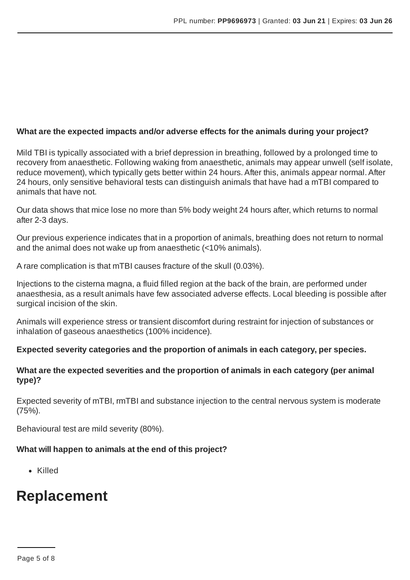#### **What are the expected impacts and/or adverse effects for the animals during your project?**

Mild TBI is typically associated with a brief depression in breathing, followed by a prolonged time to recovery from anaesthetic. Following waking from anaesthetic, animals may appear unwell (self isolate, reduce movement), which typically gets better within 24 hours. After this, animals appear normal. After 24 hours, only sensitive behavioral tests can distinguish animals that have had a mTBI compared to animals that have not.

Our data shows that mice lose no more than 5% body weight 24 hours after, which returns to normal after 2-3 days.

Our previous experience indicates that in a proportion of animals, breathing does not return to normal and the animal does not wake up from anaesthetic (<10% animals).

A rare complication is that mTBI causes fracture of the skull (0.03%).

Injections to the cisterna magna, a fluid filled region at the back of the brain, are performed under anaesthesia, as a result animals have few associated adverse effects. Local bleeding is possible after surgical incision of the skin.

Animals will experience stress or transient discomfort during restraint for injection of substances or inhalation of gaseous anaesthetics (100% incidence).

#### **Expected severity categories and the proportion of animals in each category, per species.**

#### **What are the expected severities and the proportion of animals in each category (per animal type)?**

Expected severity of mTBI, rmTBI and substance injection to the central nervous system is moderate (75%).

Behavioural test are mild severity (80%).

#### **What will happen to animals at the end of this project?**

Killed

### **Replacement**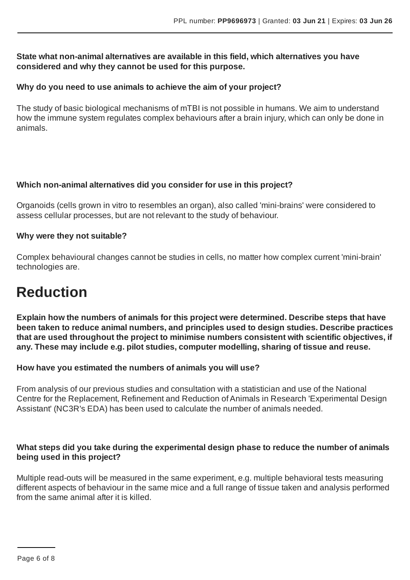#### **State what non-animal alternatives are available in this field, which alternatives you have considered and why they cannot be used for this purpose.**

#### **Why do you need to use animals to achieve the aim of your project?**

The study of basic biological mechanisms of mTBI is not possible in humans. We aim to understand how the immune system regulates complex behaviours after a brain injury, which can only be done in animals.

#### **Which non-animal alternatives did you consider for use in this project?**

Organoids (cells grown in vitro to resembles an organ), also called 'mini-brains' were considered to assess cellular processes, but are not relevant to the study of behaviour.

#### **Why were they not suitable?**

Complex behavioural changes cannot be studies in cells, no matter how complex current 'mini-brain' technologies are.

## **Reduction**

**Explain how the numbers of animals for this project were determined. Describe steps that have been taken to reduce animal numbers, and principles used to design studies. Describe practices that are used throughout the project to minimise numbers consistent with scientific objectives, if any. These may include e.g. pilot studies, computer modelling, sharing of tissue and reuse.**

#### **How have you estimated the numbers of animals you will use?**

From analysis of our previous studies and consultation with a statistician and use of the National Centre for the Replacement, Refinement and Reduction of Animals in Research 'Experimental Design Assistant' (NC3R's EDA) has been used to calculate the number of animals needed.

#### **What steps did you take during the experimental design phase to reduce the number of animals being used in this project?**

Multiple read-outs will be measured in the same experiment, e.g. multiple behavioral tests measuring different aspects of behaviour in the same mice and a full range of tissue taken and analysis performed from the same animal after it is killed.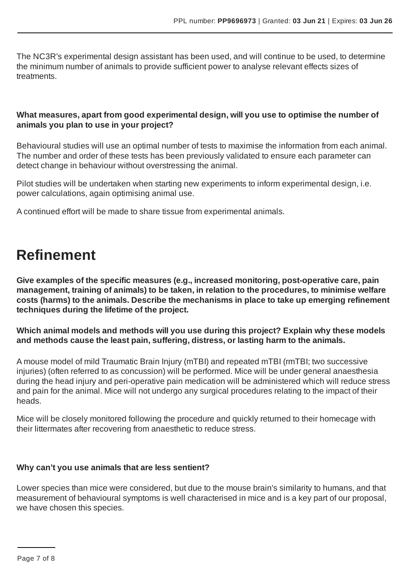The NC3R's experimental design assistant has been used, and will continue to be used, to determine the minimum number of animals to provide sufficient power to analyse relevant effects sizes of treatments.

#### **What measures, apart from good experimental design, will you use to optimise the number of animals you plan to use in your project?**

Behavioural studies will use an optimal number of tests to maximise the information from each animal. The number and order of these tests has been previously validated to ensure each parameter can detect change in behaviour without overstressing the animal.

Pilot studies will be undertaken when starting new experiments to inform experimental design, i.e. power calculations, again optimising animal use.

A continued effort will be made to share tissue from experimental animals.

# **Refinement**

**Give examples of the specific measures (e.g., increased monitoring, post-operative care, pain management, training of animals) to be taken, in relation to the procedures, to minimise welfare costs (harms) to the animals. Describe the mechanisms in place to take up emerging refinement techniques during the lifetime of the project.**

**Which animal models and methods will you use during this project? Explain why these models and methods cause the least pain, suffering, distress, or lasting harm to the animals.**

A mouse model of mild Traumatic Brain Injury (mTBI) and repeated mTBI (rmTBI; two successive injuries) (often referred to as concussion) will be performed. Mice will be under general anaesthesia during the head injury and peri-operative pain medication will be administered which will reduce stress and pain for the animal. Mice will not undergo any surgical procedures relating to the impact of their heads.

Mice will be closely monitored following the procedure and quickly returned to their homecage with their littermates after recovering from anaesthetic to reduce stress.

#### **Why can't you use animals that are less sentient?**

Lower species than mice were considered, but due to the mouse brain's similarity to humans, and that measurement of behavioural symptoms is well characterised in mice and is a key part of our proposal, we have chosen this species.